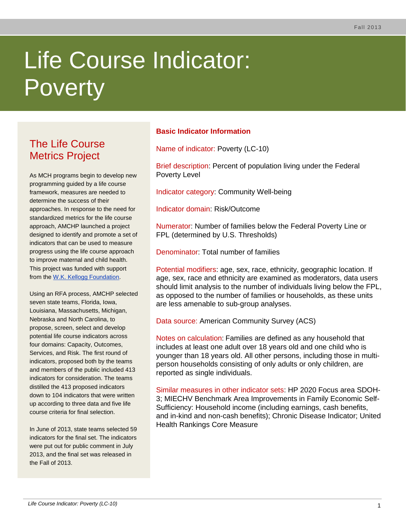# Life Course Indicator: **Poverty**

# The Life Course Metrics Project

As MCH programs begin to develop new programming guided by a life course framework, measures are needed to determine the success of their approaches. In response to the need for standardized metrics for the life course approach, AMCHP launched a project designed to identify and promote a set of indicators that can be used to measure progress using the life course approach to improve maternal and child health. This project was funded with support from the [W.K. Kellogg Foundation.](http://www.wkkf.org/)

Using an RFA process, AMCHP selected seven state teams, Florida, Iowa, Louisiana, Massachusetts, Michigan, Nebraska and North Carolina, to propose, screen, select and develop potential life course indicators across four domains: Capacity, Outcomes, Services, and Risk. The first round of indicators, proposed both by the teams and members of the public included 413 indicators for consideration. The teams distilled the 413 proposed indicators down to 104 indicators that were written up according to three data and five life course criteria for final selection.

In June of 2013, state teams selected 59 indicators for the final set. The indicators were put out for public comment in July 2013, and the final set was released in the Fall of 2013.

# **Basic Indicator Information**

Name of indicator: Poverty (LC-10)

Brief description: Percent of population living under the Federal Poverty Level

Indicator category: Community Well-being

Indicator domain: Risk/Outcome

Numerator: Number of families below the Federal Poverty Line or FPL (determined by U.S. Thresholds)

Denominator: Total number of families

Potential modifiers: age, sex, race, ethnicity, geographic location. If age, sex, race and ethnicity are examined as moderators, data users should limit analysis to the number of individuals living below the FPL, as opposed to the number of families or households, as these units are less amenable to sub-group analyses.

Data source: American Community Survey (ACS)

Notes on calculation: Families are defined as any household that includes at least one adult over 18 years old and one child who is younger than 18 years old. All other persons, including those in multiperson households consisting of only adults or only children, are reported as single individuals.

Similar measures in other indicator sets: HP 2020 Focus area SDOH-3; MIECHV Benchmark Area Improvements in Family Economic Self-Sufficiency: Household income (including earnings, cash benefits, and in-kind and non-cash benefits); Chronic Disease Indicator; United Health Rankings Core Measure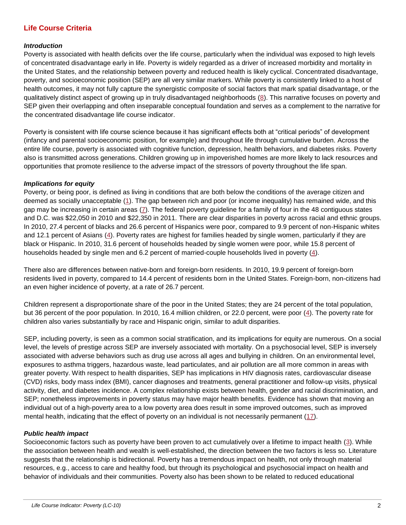### **Life Course Criteria**

#### *Introduction*

Poverty is associated with health deficits over the life course, particularly when the individual was exposed to high levels of concentrated disadvantage early in life. Poverty is widely regarded as a driver of increased morbidity and mortality in the United States, and the relationship between poverty and reduced health is likely cyclical. Concentrated disadvantage, poverty, and socioeconomic position (SEP) are all very similar markers. While poverty is consistently linked to a host of health outcomes, it may not fully capture the synergistic composite of social factors that mark spatial disadvantage, or the qualitatively distinct aspect of growing up in truly disadvantaged neighborhoods [\(8\)](#page-4-0). This narrative focuses on poverty and SEP given their overlapping and often inseparable conceptual foundation and serves as a complement to the narrative for the concentrated disadvantage life course indicator.

Poverty is consistent with life course science because it has significant effects both at "critical periods" of development (infancy and parental socioeconomic position, for example) and throughout life through cumulative burden. Across the entire life course, poverty is associated with cognitive function, depression, health behaviors, and diabetes risks. Poverty also is transmitted across generations. Children growing up in impoverished homes are more likely to lack resources and opportunities that promote resilience to the adverse impact of the stressors of poverty throughout the life span.

#### *Implications for equity*

Poverty, or being poor, is defined as living in conditions that are both below the conditions of the average citizen and deemed as socially unacceptable [\(1\)](#page-4-1). The gap between rich and poor (or income inequality) has remained wide, and this gap may be increasing in certain areas [\(7\)](#page-4-2). The federal poverty guideline for a family of four in the 48 contiguous states and D.C. was \$22,050 in 2010 and \$22,350 in 2011. There are clear disparities in poverty across racial and ethnic groups. In 2010, 27.4 percent of blacks and 26.6 percent of Hispanics were poor, compared to 9.9 percent of non-Hispanic whites and 12.1 percent of Asians [\(4\)](#page-4-3). Poverty rates are highest for families headed by single women, particularly if they are black or Hispanic. In 2010, 31.6 percent of households headed by single women were poor, while 15.8 percent of households headed by single men and 6.2 percent of married-couple households lived in poverty [\(4\)](#page-4-3).

There also are differences between native-born and foreign-born residents. In 2010, 19.9 percent of foreign-born residents lived in poverty, compared to 14.4 percent of residents born in the United States. Foreign-born, non-citizens had an even higher incidence of poverty, at a rate of 26.7 percent.

Children represent a disproportionate share of the poor in the United States; they are 24 percent of the total population, but 36 percent of the poor population. In 2010, 16.4 million children, or 22.0 percent, were poor [\(4\)](#page-4-3). The poverty rate for children also varies substantially by race and Hispanic origin, similar to adult disparities.

SEP, including poverty, is seen as a common social stratification, and its implications for equity are numerous. On a social level, the levels of prestige across SEP are inversely associated with mortality. On a psychosocial level, SEP is inversely associated with adverse behaviors such as drug use across all ages and bullying in children. On an environmental level, exposures to asthma triggers, hazardous waste, lead particulates, and air pollution are all more common in areas with greater poverty. With respect to health disparities, SEP has implications in HIV diagnosis rates, cardiovascular disease (CVD) risks, body mass index (BMI), cancer diagnoses and treatments, general practitioner and follow-up visits, physical activity, diet, and diabetes incidence. A complex relationship exists between health, gender and racial discrimination, and SEP; nonetheless improvements in poverty status may have major health benefits. Evidence has shown that moving an individual out of a high-poverty area to a low poverty area does result in some improved outcomes, such as improved mental health, indicating that the effect of poverty on an individual is not necessarily permanent [\(17\)](#page-4-4).

#### *Public health impact*

Socioeconomic factors such as poverty have been proven to act cumulatively over a lifetime to impact health [\(3\)](#page-4-5). While the association between health and wealth is well-established, the direction between the two factors is less so. Literature suggests that the relationship is bidirectional. Poverty has a tremendous impact on health, not only through material resources, e.g., access to care and healthy food, but through its psychological and psychosocial impact on health and behavior of individuals and their communities. Poverty also has been shown to be related to reduced educational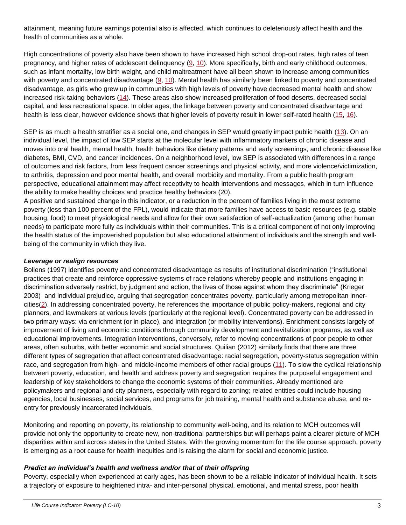attainment, meaning future earnings potential also is affected, which continues to deleteriously affect health and the health of communities as a whole.

High concentrations of poverty also have been shown to have increased high school drop-out rates, high rates of teen pregnancy, and higher rates of adolescent delinquency [\(9,](#page-4-6) [10\)](#page-4-7). More specifically, birth and early childhood outcomes, such as infant mortality, low birth weight, and child maltreatment have all been shown to increase among communities with poverty and concentrated disadvantage [\(9,](#page-4-6) [10\)](#page-4-7). Mental health has similarly been linked to poverty and concentrated disadvantage, as girls who grew up in communities with high levels of poverty have decreased mental health and show increased risk-taking behaviors [\(14\)](#page-4-8). These areas also show increased proliferation of food deserts, decreased social capital, and less recreational space. In older ages, the linkage between poverty and concentrated disadvantage and health is less clear, however evidence shows that higher levels of poverty result in lower self-rated health [\(15,](#page-4-9) [16\)](#page-4-10).

SEP is as much a health stratifier as a social one, and changes in SEP would greatly impact public health [\(13\)](#page-4-11). On an individual level, the impact of low SEP starts at the molecular level with inflammatory markers of chronic disease and moves into oral health, mental health, health behaviors like dietary patterns and early screenings, and chronic disease like diabetes, BMI, CVD, and cancer incidences. On a neighborhood level, low SEP is associated with differences in a range of outcomes and risk factors, from less frequent cancer screenings and physical activity, and more violence/victimization, to arthritis, depression and poor mental health, and overall morbidity and mortality. From a public health program perspective, educational attainment may affect receptivity to health interventions and messages, which in turn influence the ability to make healthy choices and practice healthy behaviors (20).

A positive and sustained change in this indicator, or a reduction in the percent of families living in the most extreme poverty (less than 100 percent of the FPL), would indicate that more families have access to basic resources (e.g. stable housing, food) to meet physiological needs and allow for their own satisfaction of self-actualization (among other human needs) to participate more fully as individuals within their communities. This is a critical component of not only improving the health status of the impoverished population but also educational attainment of individuals and the strength and wellbeing of the community in which they live.

#### *Leverage or realign resources*

Bollens (1997) identifies poverty and concentrated disadvantage as results of institutional discrimination ("institutional practices that create and reinforce oppressive systems of race relations whereby people and institutions engaging in discrimination adversely restrict, by judgment and action, the lives of those against whom they discriminate" (Krieger 2003) and individual prejudice, arguing that segregation concentrates poverty, particularly among metropolitan innercities[\(2\)](#page-4-12). In addressing concentrated poverty, he references the importance of public policy-makers, regional and city planners, and lawmakers at various levels (particularly at the regional level). Concentrated poverty can be addressed in two primary ways: via enrichment (or in-place), and integration (or mobility interventions). Enrichment consists largely of improvement of living and economic conditions through community development and revitalization programs, as well as educational improvements. Integration interventions, conversely, refer to moving concentrations of poor people to other areas, often suburbs, with better economic and social structures. Quilian (2012) similarly finds that there are three different types of segregation that affect concentrated disadvantage: racial segregation, poverty-status segregation within race, and segregation from high- and middle-income members of other racial groups [\(11\)](#page-4-13). To slow the cyclical relationship between poverty, education, and health and address poverty and segregation requires the purposeful engagement and leadership of key stakeholders to change the economic systems of their communities. Already mentioned are policymakers and regional and city planners, especially with regard to zoning; related entities could include housing agencies, local businesses, social services, and programs for job training, mental health and substance abuse, and reentry for previously incarcerated individuals.

Monitoring and reporting on poverty, its relationship to community well-being, and its relation to MCH outcomes will provide not only the opportunity to create new, non-traditional partnerships but will perhaps paint a clearer picture of MCH disparities within and across states in the United States. With the growing momentum for the life course approach, poverty is emerging as a root cause for health inequities and is raising the alarm for social and economic justice.

#### *Predict an individual's health and wellness and/or that of their offspring*

Poverty, especially when experienced at early ages, has been shown to be a reliable indicator of individual health. It sets a trajectory of exposure to heightened intra- and inter-personal physical, emotional, and mental stress, poor health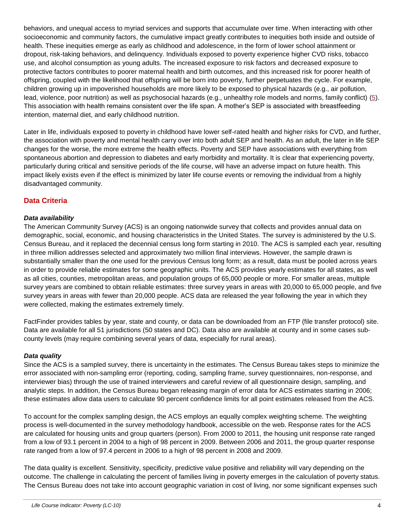behaviors, and unequal access to myriad services and supports that accumulate over time. When interacting with other socioeconomic and community factors, the cumulative impact greatly contributes to inequities both inside and outside of health. These inequities emerge as early as childhood and adolescence, in the form of lower school attainment or dropout, risk-taking behaviors, and delinquency. Individuals exposed to poverty experience higher CVD risks, tobacco use, and alcohol consumption as young adults. The increased exposure to risk factors and decreased exposure to protective factors contributes to poorer maternal health and birth outcomes, and this increased risk for poorer health of offspring, coupled with the likelihood that offspring will be born into poverty, further perpetuates the cycle. For example, children growing up in impoverished households are more likely to be exposed to physical hazards (e.g., air pollution, lead, violence, poor nutrition) as well as psychosocial hazards (e.g., unhealthy role models and norms, family conflict) [\(5\)](#page-4-14). This association with health remains consistent over the life span. A mother's SEP is associated with breastfeeding intention, maternal diet, and early childhood nutrition.

Later in life, individuals exposed to poverty in childhood have lower self-rated health and higher risks for CVD, and further, the association with poverty and mental health carry over into both adult SEP and health. As an adult, the later in life SEP changes for the worse, the more extreme the health effects. Poverty and SEP have associations with everything from spontaneous abortion and depression to diabetes and early morbidity and mortality. It is clear that experiencing poverty, particularly during critical and sensitive periods of the life course, will have an adverse impact on future health. This impact likely exists even if the effect is minimized by later life course events or removing the individual from a highly disadvantaged community.

## **Data Criteria**

#### *Data availability*

The American Community Survey (ACS) is an ongoing nationwide survey that collects and provides annual data on demographic, social, economic, and housing characteristics in the United States. The survey is administered by the U.S. Census Bureau, and it replaced the decennial census long form starting in 2010. The ACS is sampled each year, resulting in three million addresses selected and approximately two million final interviews. However, the sample drawn is substantially smaller than the one used for the previous Census long form; as a result, data must be pooled across years in order to provide reliable estimates for some geographic units. The ACS provides yearly estimates for all states, as well as all cities, counties, metropolitan areas, and population groups of 65,000 people or more. For smaller areas, multiple survey years are combined to obtain reliable estimates: three survey years in areas with 20,000 to 65,000 people, and five survey years in areas with fewer than 20,000 people. ACS data are released the year following the year in which they were collected, making the estimates extremely timely.

FactFinder provides tables by year, state and county, or data can be downloaded from an FTP (file transfer protocol) site. Data are available for all 51 jurisdictions (50 states and DC). Data also are available at county and in some cases subcounty levels (may require combining several years of data, especially for rural areas).

#### *Data quality*

Since the ACS is a sampled survey, there is uncertainty in the estimates. The Census Bureau takes steps to minimize the error associated with non-sampling error (reporting, coding, sampling frame, survey questionnaires, non-response, and interviewer bias) through the use of trained interviewers and careful review of all questionnaire design, sampling, and analytic steps. In addition, the Census Bureau began releasing margin of error data for ACS estimates starting in 2006; these estimates allow data users to calculate 90 percent confidence limits for all point estimates released from the ACS.

To account for the complex sampling design, the ACS employs an equally complex weighting scheme. The weighting process is well-documented in the survey methodology handbook, accessible on the web. Response rates for the ACS are calculated for housing units and group quarters (person). From 2000 to 2011, the housing unit response rate ranged from a low of 93.1 percent in 2004 to a high of 98 percent in 2009. Between 2006 and 2011, the group quarter response rate ranged from a low of 97.4 percent in 2006 to a high of 98 percent in 2008 and 2009.

The data quality is excellent. Sensitivity, specificity, predictive value positive and reliability will vary depending on the outcome. The challenge in calculating the percent of families living in poverty emerges in the calculation of poverty status. The Census Bureau does not take into account geographic variation in cost of living, nor some significant expenses such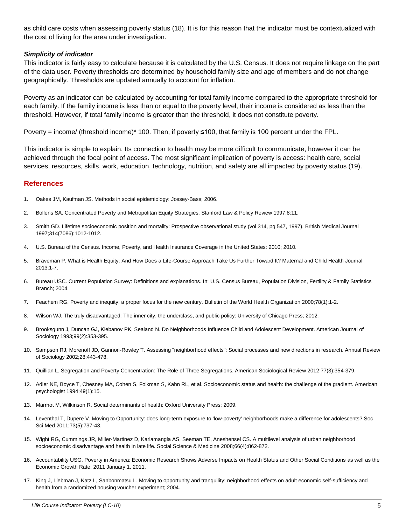as child care costs when assessing poverty status (18). It is for this reason that the indicator must be contextualized with the cost of living for the area under investigation.

#### *Simplicity of indicator*

This indicator is fairly easy to calculate because it is calculated by the U.S. Census. It does not require linkage on the part of the data user. Poverty thresholds are determined by household family size and age of members and do not change geographically. Thresholds are updated annually to account for inflation.

Poverty as an indicator can be calculated by accounting for total family income compared to the appropriate threshold for each family. If the family income is less than or equal to the poverty level, their income is considered as less than the threshold. However, if total family income is greater than the threshold, it does not constitute poverty.

Poverty = income/ (threshold income)\* 100. Then, if poverty ≤100, that family is 100 percent under the FPL.

This indicator is simple to explain. Its connection to health may be more difficult to communicate, however it can be achieved through the focal point of access. The most significant implication of poverty is access: health care, social services, resources, skills, work, education, technology, nutrition, and safety are all impacted by poverty status (19).

#### **References**

- <span id="page-4-1"></span>1. Oakes JM, Kaufman JS. Methods in social epidemiology: Jossey-Bass; 2006.
- <span id="page-4-12"></span>2. Bollens SA. Concentrated Poverty and Metropolitan Equity Strategies. Stanford Law & Policy Review 1997;8:11.
- <span id="page-4-5"></span>3. Smith GD. Lifetime socioeconomic position and mortality: Prospective observational study (vol 314, pg 547, 1997). British Medical Journal 1997;314(7086):1012-1012.
- <span id="page-4-3"></span>4. U.S. Bureau of the Census. Income, Poverty, and Health Insurance Coverage in the United States: 2010; 2010.
- <span id="page-4-14"></span>5. Braveman P. What is Health Equity: And How Does a Life-Course Approach Take Us Further Toward It? Maternal and Child Health Journal 2013:1-7.
- 6. Bureau USC. Current Population Survey: Definitions and explanations. In: U.S. Census Bureau, Population Division, Fertility & Family Statistics Branch; 2004.
- <span id="page-4-2"></span>7. Feachem RG. Poverty and inequity: a proper focus for the new century. Bulletin of the World Health Organization 2000;78(1):1-2.
- <span id="page-4-0"></span>8. Wilson WJ. The truly disadvantaged: The inner city, the underclass, and public policy: University of Chicago Press; 2012.
- <span id="page-4-6"></span>9. Brooksgunn J, Duncan GJ, Klebanov PK, Sealand N. Do Neighborhoods Influence Child and Adolescent Development. American Journal of Sociology 1993;99(2):353-395.
- <span id="page-4-7"></span>10. Sampson RJ, Morenoff JD, Gannon-Rowley T. Assessing "neighborhood effects": Social processes and new directions in research. Annual Review of Sociology 2002;28:443-478.
- <span id="page-4-13"></span>11. Quillian L. Segregation and Poverty Concentration: The Role of Three Segregations. American Sociological Review 2012;77(3):354-379.
- 12. Adler NE, Boyce T, Chesney MA, Cohen S, Folkman S, Kahn RL, et al. Socioeconomic status and health: the challenge of the gradient. American psychologist 1994;49(1):15.
- <span id="page-4-11"></span>13. Marmot M, Wilkinson R. Social determinants of health: Oxford University Press; 2009.
- <span id="page-4-8"></span>14. Leventhal T, Dupere V. Moving to Opportunity: does long-term exposure to 'low-poverty' neighborhoods make a difference for adolescents? Soc Sci Med 2011;73(5):737-43.
- <span id="page-4-9"></span>15. Wight RG, Cummings JR, Miller-Martinez D, Karlamangla AS, Seeman TE, Aneshensel CS. A multilevel analysis of urban neighborhood socioeconomic disadvantage and health in late life. Social Science & Medicine 2008;66(4):862-872.
- <span id="page-4-10"></span>16. Accountability USG. Poverty in America: Economic Research Shows Adverse Impacts on Health Status and Other Social Conditions as well as the Economic Growth Rate; 2011 January 1, 2011.
- <span id="page-4-4"></span>17. King J, Liebman J, Katz L, Sanbonmatsu L. Moving to opportunity and tranquility: neighborhood effects on adult economic self-sufficiency and health from a randomized housing voucher experiment; 2004.